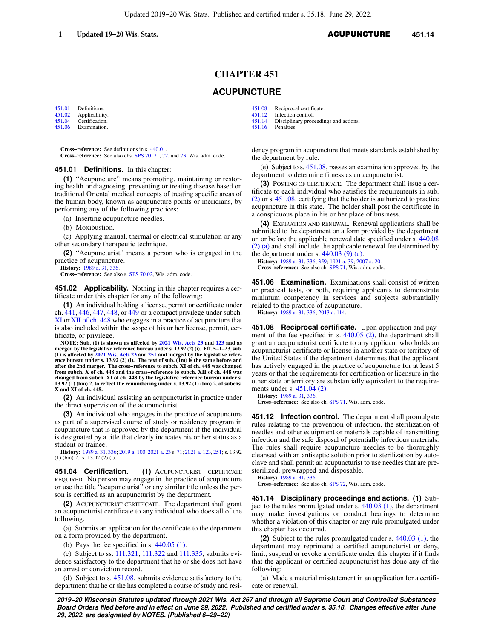## **CHAPTER 451**

# **ACUPUNCTURE**

[451.01](https://docs.legis.wisconsin.gov/document/statutes/451.01) Definitions.<br>451.02 Applicabilit [451.02](https://docs.legis.wisconsin.gov/document/statutes/451.02) Applicability.<br>451.04 Certification. [451.04](https://docs.legis.wisconsin.gov/document/statutes/451.04) Certification.<br>451.06 Examination. **Examination** 

**Cross−reference:** See definitions in s. [440.01](https://docs.legis.wisconsin.gov/document/statutes/440.01).

**Cross−reference:** See also chs. [SPS 70](https://docs.legis.wisconsin.gov/document/administrativecode/ch.%20SPS%2070), [71,](https://docs.legis.wisconsin.gov/document/administrativecode/ch.%20SPS%2071) [72](https://docs.legis.wisconsin.gov/document/administrativecode/ch.%20SPS%2072), and [73,](https://docs.legis.wisconsin.gov/document/administrativecode/ch.%20SPS%2073) Wis. adm. code.

### **451.01 Definitions.** In this chapter:

**(1)** "Acupuncture" means promoting, maintaining or restoring health or diagnosing, preventing or treating disease based on traditional Oriental medical concepts of treating specific areas of the human body, known as acupuncture points or meridians, by performing any of the following practices:

(a) Inserting acupuncture needles.

(b) Moxibustion.

(c) Applying manual, thermal or electrical stimulation or any other secondary therapeutic technique.

**(2)** "Acupuncturist" means a person who is engaged in the practice of acupuncture.

**History:** [1989 a. 31,](https://docs.legis.wisconsin.gov/document/acts/1989/31) [336.](https://docs.legis.wisconsin.gov/document/acts/1989/336)

**Cross−reference:** See also s. [SPS 70.02](https://docs.legis.wisconsin.gov/document/administrativecode/SPS%2070.02), Wis. adm. code.

**451.02 Applicability.** Nothing in this chapter requires a certificate under this chapter for any of the following:

**(1)** An individual holding a license, permit or certificate under ch. [441,](https://docs.legis.wisconsin.gov/document/statutes/ch.%20441) [446](https://docs.legis.wisconsin.gov/document/statutes/ch.%20446), [447,](https://docs.legis.wisconsin.gov/document/statutes/ch.%20447) [448,](https://docs.legis.wisconsin.gov/document/statutes/ch.%20448) or [449](https://docs.legis.wisconsin.gov/document/statutes/ch.%20449) or a compact privilege under subch. [XI](https://docs.legis.wisconsin.gov/document/statutes/subch.%20XI%20of%20ch.%20448) or [XII of ch. 448](https://docs.legis.wisconsin.gov/document/statutes/subch.%20XII%20of%20ch.%20448) who engages in a practice of acupuncture that is also included within the scope of his or her license, permit, certificate, or privilege.

**NOTE: Sub. (1) is shown as affected by [2021 Wis. Acts 23](https://docs.legis.wisconsin.gov/document/acts/2021/23) and [123](https://docs.legis.wisconsin.gov/document/acts/2021/123) and as merged by the legislative reference bureau under s. 13.92 (2) (i). Eff. 5−1−23, sub. (1) is affected by [2021 Wis. Acts 23](https://docs.legis.wisconsin.gov/document/acts/2021/23) and [251](https://docs.legis.wisconsin.gov/document/acts/2021/251) and merged by the legislative reference bureau under s. 13.92 (2) (i). The text of sub. (1m) is the same before and after the 2nd merger. The cross−reference to subch. XI of ch. 448 was changed from subch. X of ch. 448 and the cross−reference to subch. XII of ch. 448 was changed from subch. XI of ch. 448 by the legislative reference bureau under s. 13.92 (1) (bm) 2. to reflect the renumbering under s. 13.92 (1) (bm) 2. of subchs. X and XI of ch. 448.**

**(2)** An individual assisting an acupuncturist in practice under the direct supervision of the acupuncturist.

**(3)** An individual who engages in the practice of acupuncture as part of a supervised course of study or residency program in acupuncture that is approved by the department if the individual is designated by a title that clearly indicates his or her status as a student or trainee.

**History:** [1989 a. 31](https://docs.legis.wisconsin.gov/document/acts/1989/31), [336;](https://docs.legis.wisconsin.gov/document/acts/1989/336) [2019 a. 100](https://docs.legis.wisconsin.gov/document/acts/2019/100); [2021 a. 23](https://docs.legis.wisconsin.gov/document/acts/2021/23) s. [71](https://docs.legis.wisconsin.gov/document/acts/2021/23,%20s.%2071); [2021 a. 123,](https://docs.legis.wisconsin.gov/document/acts/2021/123) [251](https://docs.legis.wisconsin.gov/document/acts/2021/251); s. 13.92 (1) (bm) 2.; s. 13.92 (2) (i).

**451.04 Certification. (1)** ACUPUNCTURIST CERTIFICATE REQUIRED. No person may engage in the practice of acupuncture or use the title "acupuncturist" or any similar title unless the person is certified as an acupuncturist by the department.

**(2)** ACUPUNCTURIST CERTIFICATE. The department shall grant an acupuncturist certificate to any individual who does all of the following:

(a) Submits an application for the certificate to the department on a form provided by the department.

(b) Pays the fee specified in s.  $440.05$  (1).

(c) Subject to ss. [111.321,](https://docs.legis.wisconsin.gov/document/statutes/111.321) [111.322](https://docs.legis.wisconsin.gov/document/statutes/111.322) and [111.335](https://docs.legis.wisconsin.gov/document/statutes/111.335), submits evidence satisfactory to the department that he or she does not have an arrest or conviction record.

(d) Subject to s.  $451.08$ , submits evidence satisfactory to the department that he or she has completed a course of study and resi[451.08](https://docs.legis.wisconsin.gov/document/statutes/451.08) Reciprocal certificate<br>451.12 Infection control.

[451.12](https://docs.legis.wisconsin.gov/document/statutes/451.12) Infection control.<br>451.14 Disciplinary proc

[451.14](https://docs.legis.wisconsin.gov/document/statutes/451.14) Disciplinary proceedings and actions.<br>451.16 Penalties. Penalties.

dency program in acupuncture that meets standards established by the department by rule.

(e) Subject to s. [451.08](https://docs.legis.wisconsin.gov/document/statutes/451.08), passes an examination approved by the department to determine fitness as an acupuncturist.

**(3)** POSTING OF CERTIFICATE. The department shall issue a certificate to each individual who satisfies the requirements in sub. [\(2\)](https://docs.legis.wisconsin.gov/document/statutes/451.04(2)) or s. [451.08,](https://docs.legis.wisconsin.gov/document/statutes/451.08) certifying that the holder is authorized to practice acupuncture in this state. The holder shall post the certificate in a conspicuous place in his or her place of business.

**(4)** EXPIRATION AND RENEWAL. Renewal applications shall be submitted to the department on a form provided by the department on or before the applicable renewal date specified under s. [440.08](https://docs.legis.wisconsin.gov/document/statutes/440.08(2)(a)) [\(2\) \(a\)](https://docs.legis.wisconsin.gov/document/statutes/440.08(2)(a)) and shall include the applicable renewal fee determined by the department under s.  $440.03$  (9) (a).

**History:** [1989 a. 31](https://docs.legis.wisconsin.gov/document/acts/1989/31), [336](https://docs.legis.wisconsin.gov/document/acts/1989/336), [359](https://docs.legis.wisconsin.gov/document/acts/1989/359); [1991 a. 39](https://docs.legis.wisconsin.gov/document/acts/1991/39); [2007 a. 20.](https://docs.legis.wisconsin.gov/document/acts/2007/20)

**Cross−reference:** See also ch. [SPS 71,](https://docs.legis.wisconsin.gov/document/administrativecode/ch.%20SPS%2071) Wis. adm. code.

**451.06 Examination.** Examinations shall consist of written or practical tests, or both, requiring applicants to demonstrate minimum competency in services and subjects substantially related to the practice of acupuncture.

**History:** [1989 a. 31](https://docs.legis.wisconsin.gov/document/acts/1989/31), [336](https://docs.legis.wisconsin.gov/document/acts/1989/336); [2013 a. 114.](https://docs.legis.wisconsin.gov/document/acts/2013/114)

**451.08 Reciprocal certificate.** Upon application and payment of the fee specified in s. [440.05 \(2\)](https://docs.legis.wisconsin.gov/document/statutes/440.05(2)), the department shall grant an acupuncturist certificate to any applicant who holds an acupuncturist certificate or license in another state or territory of the United States if the department determines that the applicant has actively engaged in the practice of acupuncture for at least 5 years or that the requirements for certification or licensure in the other state or territory are substantially equivalent to the requirements under s. [451.04 \(2\).](https://docs.legis.wisconsin.gov/document/statutes/451.04(2))

**History:** [1989 a. 31](https://docs.legis.wisconsin.gov/document/acts/1989/31), [336](https://docs.legis.wisconsin.gov/document/acts/1989/336).

**Cross−reference:** See also ch. [SPS 71,](https://docs.legis.wisconsin.gov/document/administrativecode/ch.%20SPS%2071) Wis. adm. code.

**451.12 Infection control.** The department shall promulgate rules relating to the prevention of infection, the sterilization of needles and other equipment or materials capable of transmitting infection and the safe disposal of potentially infectious materials. The rules shall require acupuncture needles to be thoroughly cleansed with an antiseptic solution prior to sterilization by autoclave and shall permit an acupuncturist to use needles that are presterilized, prewrapped and disposable.

**History:** [1989 a. 31](https://docs.legis.wisconsin.gov/document/acts/1989/31), [336](https://docs.legis.wisconsin.gov/document/acts/1989/336).

**Cross−reference:** See also ch. [SPS 72,](https://docs.legis.wisconsin.gov/document/administrativecode/ch.%20SPS%2072) Wis. adm. code.

**451.14 Disciplinary proceedings and actions. (1)** Subject to the rules promulgated under s. [440.03 \(1\),](https://docs.legis.wisconsin.gov/document/statutes/440.03(1)) the department may make investigations or conduct hearings to determine whether a violation of this chapter or any rule promulgated under this chapter has occurred.

**(2)** Subject to the rules promulgated under s. [440.03 \(1\)](https://docs.legis.wisconsin.gov/document/statutes/440.03(1)), the department may reprimand a certified acupuncturist or deny, limit, suspend or revoke a certificate under this chapter if it finds that the applicant or certified acupuncturist has done any of the following:

(a) Made a material misstatement in an application for a certificate or renewal.

**2019−20 Wisconsin Statutes updated through 2021 Wis. Act 267 and through all Supreme Court and Controlled Substances Board Orders filed before and in effect on June 29, 2022. Published and certified under s. 35.18. Changes effective after June 29, 2022, are designated by NOTES. (Published 6−29−22)**